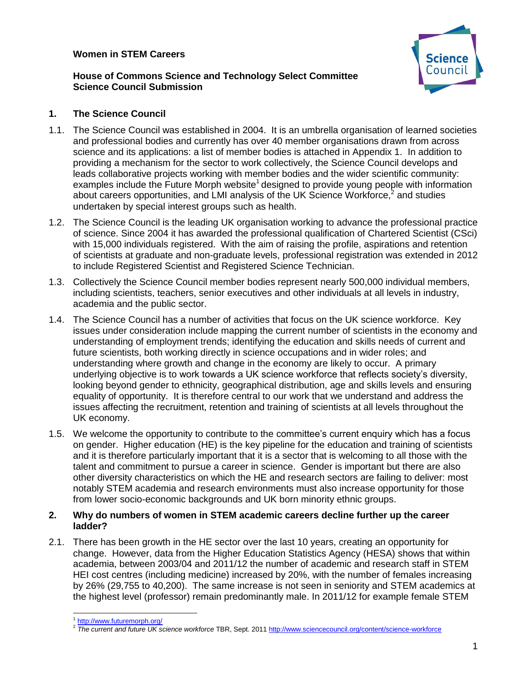# **Women in STEM Careers**



# **House of Commons Science and Technology Select Committee Science Council Submission**

# **1. The Science Council**

- 1.1. The Science Council was established in 2004. It is an umbrella organisation of learned societies and professional bodies and currently has over 40 member organisations drawn from across science and its applications: a list of member bodies is attached in Appendix 1. In addition to providing a mechanism for the sector to work collectively, the Science Council develops and leads collaborative projects working with member bodies and the wider scientific community: examples include the Future Morph website<sup>1</sup> designed to provide young people with information about careers opportunities, and LMI analysis of the UK Science Workforce,<sup>2</sup> and studies undertaken by special interest groups such as health.
- 1.2. The Science Council is the leading UK organisation working to advance the professional practice of science. Since 2004 it has awarded the professional qualification of Chartered Scientist (CSci) with 15,000 individuals registered. With the aim of raising the profile, aspirations and retention of scientists at graduate and non-graduate levels, professional registration was extended in 2012 to include Registered Scientist and Registered Science Technician.
- 1.3. Collectively the Science Council member bodies represent nearly 500,000 individual members, including scientists, teachers, senior executives and other individuals at all levels in industry, academia and the public sector.
- 1.4. The Science Council has a number of activities that focus on the UK science workforce. Key issues under consideration include mapping the current number of scientists in the economy and understanding of employment trends; identifying the education and skills needs of current and future scientists, both working directly in science occupations and in wider roles; and understanding where growth and change in the economy are likely to occur. A primary underlying objective is to work towards a UK science workforce that reflects society's diversity, looking beyond gender to ethnicity, geographical distribution, age and skills levels and ensuring equality of opportunity. It is therefore central to our work that we understand and address the issues affecting the recruitment, retention and training of scientists at all levels throughout the UK economy.
- 1.5. We welcome the opportunity to contribute to the committee's current enquiry which has a focus on gender. Higher education (HE) is the key pipeline for the education and training of scientists and it is therefore particularly important that it is a sector that is welcoming to all those with the talent and commitment to pursue a career in science. Gender is important but there are also other diversity characteristics on which the HE and research sectors are failing to deliver: most notably STEM academia and research environments must also increase opportunity for those from lower socio-economic backgrounds and UK born minority ethnic groups.

### **2. Why do numbers of women in STEM academic careers decline further up the career ladder?**

2.1. There has been growth in the HE sector over the last 10 years, creating an opportunity for change. However, data from the Higher Education Statistics Agency (HESA) shows that within academia, between 2003/04 and 2011/12 the number of academic and research staff in STEM HEI cost centres (including medicine) increased by 20%, with the number of females increasing by 26% (29,755 to 40,200). The same increase is not seen in seniority and STEM academics at the highest level (professor) remain predominantly male. In 2011/12 for example female STEM

<sup>&</sup>lt;sup>1</sup> <http://www.futuremorph.org/>

<sup>2</sup> *The current and future UK science workforce* TBR, Sept. 201[1 http://www.sciencecouncil.org/content/science-workforce](http://www.sciencecouncil.org/content/science-workforce)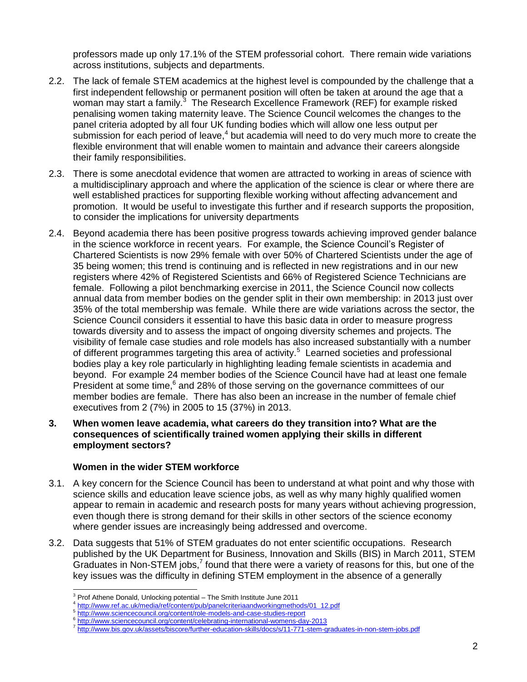professors made up only 17.1% of the STEM professorial cohort. There remain wide variations across institutions, subjects and departments.

- 2.2. The lack of female STEM academics at the highest level is compounded by the challenge that a first independent fellowship or permanent position will often be taken at around the age that a woman may start a family.<sup>3</sup> The Research Excellence Framework (REF) for example risked penalising women taking maternity leave. The Science Council welcomes the changes to the panel criteria adopted by all four UK funding bodies which will allow one less output per submission for each period of leave,<sup>4</sup> but academia will need to do very much more to create the flexible environment that will enable women to maintain and advance their careers alongside their family responsibilities.
- 2.3. There is some anecdotal evidence that women are attracted to working in areas of science with a multidisciplinary approach and where the application of the science is clear or where there are well established practices for supporting flexible working without affecting advancement and promotion. It would be useful to investigate this further and if research supports the proposition, to consider the implications for university departments
- 2.4. Beyond academia there has been positive progress towards achieving improved gender balance in the science workforce in recent years. For example, the Science Council's Register of Chartered Scientists is now 29% female with over 50% of Chartered Scientists under the age of 35 being women; this trend is continuing and is reflected in new registrations and in our new registers where 42% of Registered Scientists and 66% of Registered Science Technicians are female. Following a pilot benchmarking exercise in 2011, the Science Council now collects annual data from member bodies on the gender split in their own membership: in 2013 just over 35% of the total membership was female. While there are wide variations across the sector, the Science Council considers it essential to have this basic data in order to measure progress towards diversity and to assess the impact of ongoing diversity schemes and projects. The visibility of female case studies and role models has also increased substantially with a number of different programmes targeting this area of activity.<sup>5</sup> Learned societies and professional bodies play a key role particularly in highlighting leading female scientists in academia and beyond. For example 24 member bodies of the Science Council have had at least one female President at some time,<sup>6</sup> and 28% of those serving on the governance committees of our member bodies are female. There has also been an increase in the number of female chief executives from 2 (7%) in 2005 to 15 (37%) in 2013.
- **3. When women leave academia, what careers do they transition into? What are the consequences of scientifically trained women applying their skills in different employment sectors?**

### **Women in the wider STEM workforce**

- 3.1. A key concern for the Science Council has been to understand at what point and why those with science skills and education leave science jobs, as well as why many highly qualified women appear to remain in academic and research posts for many years without achieving progression, even though there is strong demand for their skills in other sectors of the science economy where gender issues are increasingly being addressed and overcome.
- 3.2. Data suggests that 51% of STEM graduates do not enter scientific occupations. Research published by the UK Department for Business, Innovation and Skills (BIS) in March 2011, STEM Graduates in Non-STEM jobs,<sup>7</sup> found that there were a variety of reasons for this, but one of the key issues was the difficulty in defining STEM employment in the absence of a generally

  $3$  Prof Athene Donald, Unlocking potential – The Smith Institute June 2011

<sup>&</sup>lt;sup>4</sup> [http://www.ref.ac.uk/media/ref/content/pub/panelcriteriaandworkingmethods/01\\_12.pdf](http://www.ref.ac.uk/media/ref/content/pub/panelcriteriaandworkingmethods/01_12.pdf)

<sup>&</sup>lt;sup>5</sup> <http://www.sciencecouncil.org/content/role-models-and-case-studies-report>

<sup>&</sup>lt;sup>6</sup> <http://www.sciencecouncil.org/content/celebrating-international-womens-day-2013>

<sup>7</sup> <http://www.bis.gov.uk/assets/biscore/further-education-skills/docs/s/11-771-stem-graduates-in-non-stem-jobs.pdf>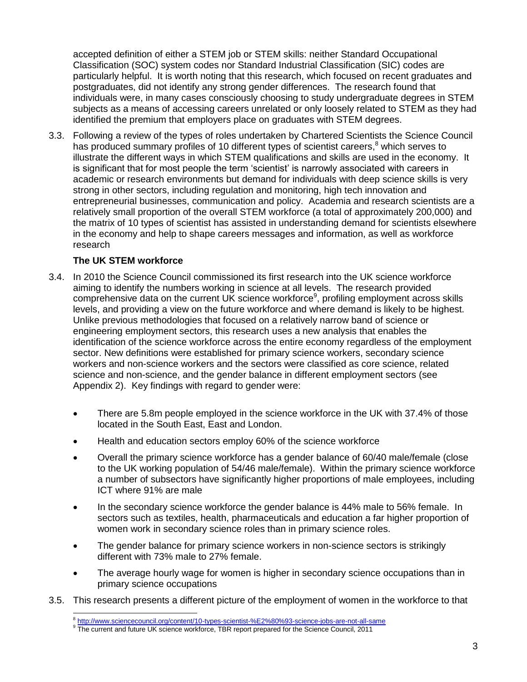accepted definition of either a STEM job or STEM skills: neither Standard Occupational Classification (SOC) system codes nor Standard Industrial Classification (SIC) codes are particularly helpful. It is worth noting that this research, which focused on recent graduates and postgraduates, did not identify any strong gender differences. The research found that individuals were, in many cases consciously choosing to study undergraduate degrees in STEM subjects as a means of accessing careers unrelated or only loosely related to STEM as they had identified the premium that employers place on graduates with STEM degrees.

3.3. Following a review of the types of roles undertaken by Chartered Scientists the Science Council has produced summary profiles of 10 different types of scientist careers,<sup>8</sup> which serves to illustrate the different ways in which STEM qualifications and skills are used in the economy. It is significant that for most people the term 'scientist' is narrowly associated with careers in academic or research environments but demand for individuals with deep science skills is very strong in other sectors, including regulation and monitoring, high tech innovation and entrepreneurial businesses, communication and policy. Academia and research scientists are a relatively small proportion of the overall STEM workforce (a total of approximately 200,000) and the matrix of 10 types of scientist has assisted in understanding demand for scientists elsewhere in the economy and help to shape careers messages and information, as well as workforce research

# **The UK STEM workforce**

- 3.4. In 2010 the Science Council commissioned its first research into the UK science workforce aiming to identify the numbers working in science at all levels. The research provided comprehensive data on the current UK science workforce<sup>9</sup>, profiling employment across skills levels, and providing a view on the future workforce and where demand is likely to be highest. Unlike previous methodologies that focused on a relatively narrow band of science or engineering employment sectors, this research uses a new analysis that enables the identification of the science workforce across the entire economy regardless of the employment sector. New definitions were established for primary science workers, secondary science workers and non-science workers and the sectors were classified as core science, related science and non-science, and the gender balance in different employment sectors (see Appendix 2). Key findings with regard to gender were:
	- There are 5.8m people employed in the science workforce in the UK with 37.4% of those located in the South East, East and London.
	- Health and education sectors employ 60% of the science workforce
	- Overall the primary science workforce has a gender balance of 60/40 male/female (close to the UK working population of 54/46 male/female). Within the primary science workforce a number of subsectors have significantly higher proportions of male employees, including ICT where 91% are male
	- In the secondary science workforce the gender balance is 44% male to 56% female. In sectors such as textiles, health, pharmaceuticals and education a far higher proportion of women work in secondary science roles than in primary science roles.
	- The gender balance for primary science workers in non-science sectors is strikingly different with 73% male to 27% female.
	- The average hourly wage for women is higher in secondary science occupations than in primary science occupations
- 3.5. This research presents a different picture of the employment of women in the workforce to that

e<br>B<http://www.sciencecouncil.org/content/10-types-scientist-%E2%80%93-science-jobs-are-not-all-same><br><sup>9</sup> The current and future UK science workforce, TBR report prepared for the Science Council, 2011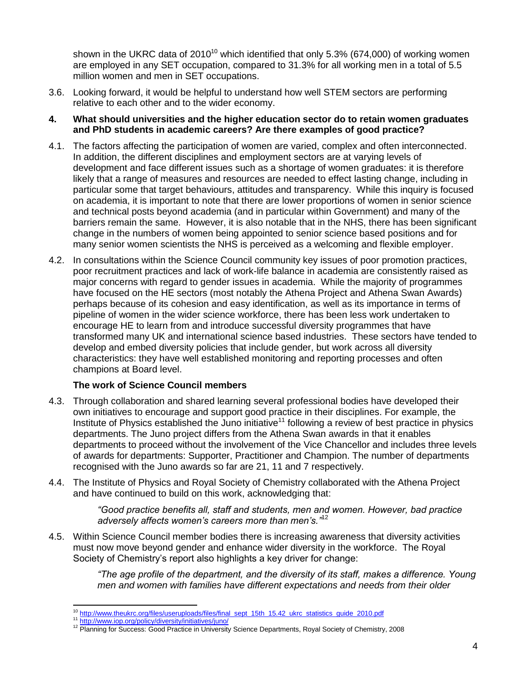shown in the UKRC data of 2010<sup>10</sup> which identified that only 5.3% (674,000) of working women are employed in any SET occupation, compared to 31.3% for all working men in a total of 5.5 million women and men in SET occupations.

3.6. Looking forward, it would be helpful to understand how well STEM sectors are performing relative to each other and to the wider economy.

#### **4. What should universities and the higher education sector do to retain women graduates and PhD students in academic careers? Are there examples of good practice?**

- 4.1. The factors affecting the participation of women are varied, complex and often interconnected. In addition, the different disciplines and employment sectors are at varying levels of development and face different issues such as a shortage of women graduates: it is therefore likely that a range of measures and resources are needed to effect lasting change, including in particular some that target behaviours, attitudes and transparency. While this inquiry is focused on academia, it is important to note that there are lower proportions of women in senior science and technical posts beyond academia (and in particular within Government) and many of the barriers remain the same. However, it is also notable that in the NHS, there has been significant change in the numbers of women being appointed to senior science based positions and for many senior women scientists the NHS is perceived as a welcoming and flexible employer.
- 4.2. In consultations within the Science Council community key issues of poor promotion practices, poor recruitment practices and lack of work-life balance in academia are consistently raised as major concerns with regard to gender issues in academia. While the majority of programmes have focused on the HE sectors (most notably the Athena Project and Athena Swan Awards) perhaps because of its cohesion and easy identification, as well as its importance in terms of pipeline of women in the wider science workforce, there has been less work undertaken to encourage HE to learn from and introduce successful diversity programmes that have transformed many UK and international science based industries. These sectors have tended to develop and embed diversity policies that include gender, but work across all diversity characteristics: they have well established monitoring and reporting processes and often champions at Board level.

### **The work of Science Council members**

- 4.3. Through collaboration and shared learning several professional bodies have developed their own initiatives to encourage and support good practice in their disciplines. For example, the Institute of Physics established the Juno initiative<sup>11</sup> following a review of best practice in physics departments. The Juno project differs from the Athena Swan awards in that it enables departments to proceed without the involvement of the Vice Chancellor and includes three levels of awards for departments: Supporter, Practitioner and Champion. The number of departments recognised with the Juno awards so far are 21, 11 and 7 respectively.
- 4.4. The Institute of Physics and Royal Society of Chemistry collaborated with the Athena Project and have continued to build on this work, acknowledging that:

*"Good practice benefits all, staff and students, men and women. However, bad practice adversely affects women's careers more than men's."*<sup>12</sup>

4.5. Within Science Council member bodies there is increasing awareness that diversity activities must now move beyond gender and enhance wider diversity in the workforce. The Royal Society of Chemistry's report also highlights a key driver for change:

> *"The age profile of the department, and the diversity of its staff, makes a difference. Young men and women with families have different expectations and needs from their older*

 <sup>10</sup> [http://www.theukrc.org/files/useruploads/files/final\\_sept\\_15th\\_15.42\\_ukrc\\_statistics\\_guide\\_2010.pdf](http://www.theukrc.org/files/useruploads/files/final_sept_15th_15.42_ukrc_statistics_guide_2010.pdf)

<sup>&</sup>lt;sup>11</sup> <http://www.iop.org/policy/diversity/initiatives/juno/>

<sup>&</sup>lt;sup>12</sup> Planning for Success: Good Practice in University Science Departments, Royal Society of Chemistry, 2008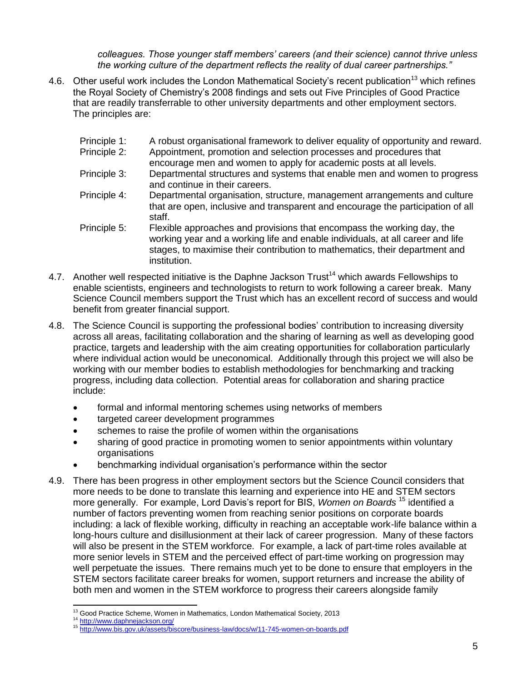*colleagues. Those younger staff members' careers (and their science) cannot thrive unless the working culture of the department reflects the reality of dual career partnerships."*

- 4.6. Other useful work includes the London Mathematical Society's recent publication<sup>13</sup> which refines the Royal Society of Chemistry's 2008 findings and sets out Five Principles of Good Practice that are readily transferrable to other university departments and other employment sectors. The principles are:
	- Principle 1: A robust organisational framework to deliver equality of opportunity and reward.
	- Principle 2: Appointment, promotion and selection processes and procedures that
	- encourage men and women to apply for academic posts at all levels. Principle 3: Departmental structures and systems that enable men and women to progress
	- and continue in their careers. Principle 4: Departmental organisation, structure, management arrangements and culture
	- that are open, inclusive and transparent and encourage the participation of all staff.
	- Principle 5: Flexible approaches and provisions that encompass the working day, the working year and a working life and enable individuals, at all career and life stages, to maximise their contribution to mathematics, their department and institution.
- 4.7. Another well respected initiative is the Daphne Jackson Trust<sup>14</sup> which awards Fellowships to enable scientists, engineers and technologists to return to work following a career break. Many Science Council members support the Trust which has an excellent record of success and would benefit from greater financial support.
- 4.8. The Science Council is supporting the professional bodies' contribution to increasing diversity across all areas, facilitating collaboration and the sharing of learning as well as developing good practice, targets and leadership with the aim creating opportunities for collaboration particularly where individual action would be uneconomical. Additionally through this project we will also be working with our member bodies to establish methodologies for benchmarking and tracking progress, including data collection. Potential areas for collaboration and sharing practice include:
	- formal and informal mentoring schemes using networks of members
	- targeted career development programmes
	- schemes to raise the profile of women within the organisations
	- sharing of good practice in promoting women to senior appointments within voluntary organisations
	- benchmarking individual organisation's performance within the sector
- 4.9. There has been progress in other employment sectors but the Science Council considers that more needs to be done to translate this learning and experience into HE and STEM sectors more generally. For example, Lord Davis's report for BIS, *Women on Boards* <sup>15</sup> identified a number of factors preventing women from reaching senior positions on corporate boards including: a lack of flexible working, difficulty in reaching an acceptable work-life balance within a long-hours culture and disillusionment at their lack of career progression. Many of these factors will also be present in the STEM workforce. For example, a lack of part-time roles available at more senior levels in STEM and the perceived effect of part-time working on progression may well perpetuate the issues. There remains much yet to be done to ensure that employers in the STEM sectors facilitate career breaks for women, support returners and increase the ability of both men and women in the STEM workforce to progress their careers alongside family

 <sup>13</sup> Good Practice Scheme, Women in Mathematics, London Mathematical Society, 2013

<sup>&</sup>lt;sup>14</sup> <http://www.daphnejackson.org/>

<sup>15</sup> <http://www.bis.gov.uk/assets/biscore/business-law/docs/w/11-745-women-on-boards.pdf>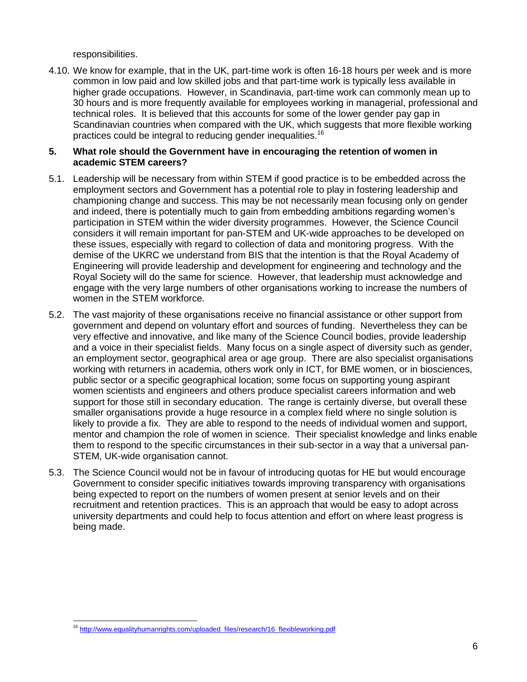responsibilities.

4.10. We know for example, that in the UK, part-time work is often 16-18 hours per week and is more common in low paid and low skilled jobs and that part-time work is typically less available in higher grade occupations. However, in Scandinavia, part-time work can commonly mean up to 30 hours and is more frequently available for employees working in managerial, professional and technical roles. It is believed that this accounts for some of the lower gender pay gap in Scandinavian countries when compared with the UK, which suggests that more flexible working practices could be integral to reducing gender inequalities.<sup>16</sup>

# **5. What role should the Government have in encouraging the retention of women in academic STEM careers?**

- 5.1. Leadership will be necessary from within STEM if good practice is to be embedded across the employment sectors and Government has a potential role to play in fostering leadership and championing change and success. This may be not necessarily mean focusing only on gender and indeed, there is potentially much to gain from embedding ambitions regarding women's participation in STEM within the wider diversity programmes. However, the Science Council considers it will remain important for pan-STEM and UK-wide approaches to be developed on these issues, especially with regard to collection of data and monitoring progress. With the demise of the UKRC we understand from BIS that the intention is that the Royal Academy of Engineering will provide leadership and development for engineering and technology and the Royal Society will do the same for science. However, that leadership must acknowledge and engage with the very large numbers of other organisations working to increase the numbers of women in the STEM workforce.
- 5.2. The vast majority of these organisations receive no financial assistance or other support from government and depend on voluntary effort and sources of funding. Nevertheless they can be very effective and innovative, and like many of the Science Council bodies, provide leadership and a voice in their specialist fields. Many focus on a single aspect of diversity such as gender, an employment sector, geographical area or age group. There are also specialist organisations working with returners in academia, others work only in ICT, for BME women, or in biosciences, public sector or a specific geographical location; some focus on supporting young aspirant women scientists and engineers and others produce specialist careers information and web support for those still in secondary education. The range is certainly diverse, but overall these smaller organisations provide a huge resource in a complex field where no single solution is likely to provide a fix. They are able to respond to the needs of individual women and support, mentor and champion the role of women in science. Their specialist knowledge and links enable them to respond to the specific circumstances in their sub-sector in a way that a universal pan-STEM, UK-wide organisation cannot.
- 5.3. The Science Council would not be in favour of introducing quotas for HE but would encourage Government to consider specific initiatives towards improving transparency with organisations being expected to report on the numbers of women present at senior levels and on their recruitment and retention practices. This is an approach that would be easy to adopt across university departments and could help to focus attention and effort on where least progress is being made.

 <sup>16</sup> [http://www.equalityhumanrights.com/uploaded\\_files/research/16\\_flexibleworking.pdf](http://www.equalityhumanrights.com/uploaded_files/research/16_flexibleworking.pdf)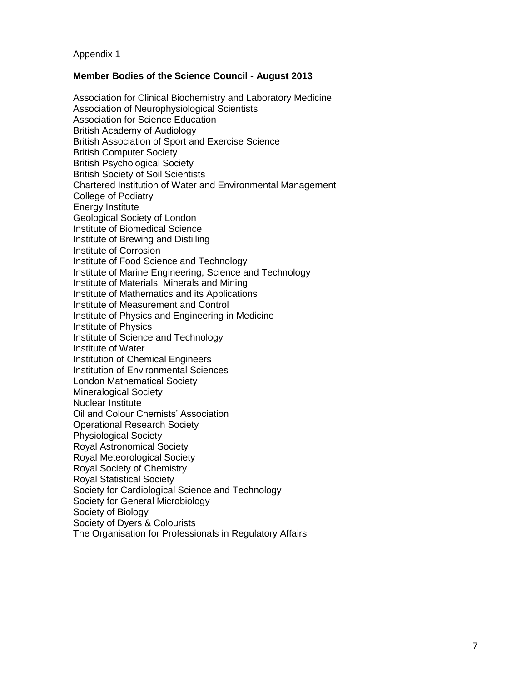Appendix 1

### **Member Bodies of the Science Council - August 2013**

Association for Clinical Biochemistry and Laboratory Medicine Association of Neurophysiological Scientists Association for Science Education British Academy of Audiology British Association of Sport and Exercise Science British Computer Society British Psychological Society British Society of Soil Scientists Chartered Institution of Water and Environmental Management College of Podiatry Energy Institute Geological Society of London Institute of Biomedical Science Institute of Brewing and Distilling Institute of Corrosion Institute of Food Science and Technology Institute of Marine Engineering, Science and Technology Institute of Materials, Minerals and Mining Institute of Mathematics and its Applications Institute of Measurement and Control Institute of Physics and Engineering in Medicine Institute of Physics Institute of Science and Technology Institute of Water Institution of Chemical Engineers Institution of Environmental Sciences London Mathematical Society Mineralogical Society Nuclear Institute Oil and Colour Chemists' Association Operational Research Society Physiological Society Royal Astronomical Society Royal Meteorological Society Royal Society of Chemistry Royal Statistical Society Society for Cardiological Science and Technology Society for General Microbiology Society of Biology Society of Dyers & Colourists The Organisation for Professionals in Regulatory Affairs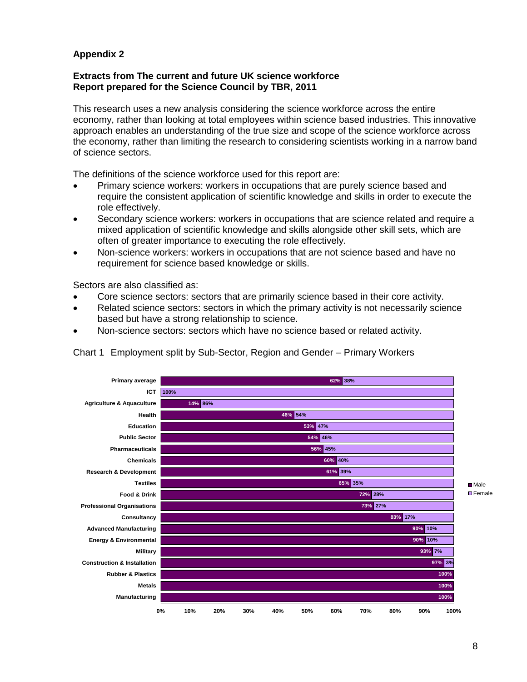# **Appendix 2**

#### **Extracts from The current and future UK science workforce Report prepared for the Science Council by TBR, 2011**

This research uses a new analysis considering the science workforce across the entire economy, rather than looking at total employees within science based industries. This innovative approach enables an understanding of the true size and scope of the science workforce across the economy, rather than limiting the research to considering scientists working in a narrow band of science sectors.

The definitions of the science workforce used for this report are:

- Primary science workers: workers in occupations that are purely science based and require the consistent application of scientific knowledge and skills in order to execute the role effectively.
- Secondary science workers: workers in occupations that are science related and require a mixed application of scientific knowledge and skills alongside other skill sets, which are often of greater importance to executing the role effectively.
- Non-science workers: workers in occupations that are not science based and have no requirement for science based knowledge or skills.

Sectors are also classified as:

- Core science sectors: sectors that are primarily science based in their core activity.
- Related science sectors: sectors in which the primary activity is not necessarily science based but have a strong relationship to science.
- Non-science sectors: sectors which have no science based or related activity.



Chart 1 Employment split by Sub-Sector, Region and Gender – Primary Workers